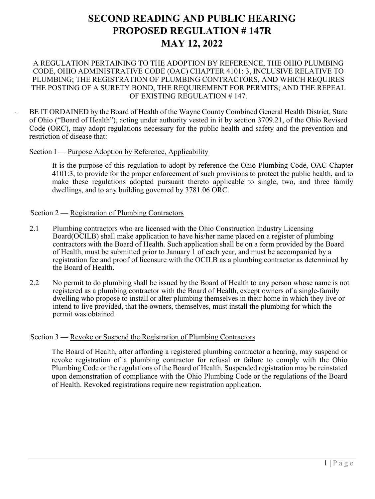# **SECOND READING AND PUBLIC HEARING PROPOSED REGULATION # 147R MAY 12, 2022**

### A REGULATION PERTAINING TO THE ADOPTION BY REFERENCE, THE OHIO PLUMBING CODE, OHIO ADMINISTRATIVE CODE (OAC) CHAPTER 4101: 3, INCLUSIVE RELATIVE TO PLUMBING; THE REGISTRATION OF PLUMBING CONTRACTORS, AND WHICH REQUIRES THE POSTING OF A SURETY BOND, THE REQUIREMENT FOR PERMITS; AND THE REPEAL OF EXISTING REGULATION # 147.

BE IT ORDAINED by the Board of Health of the Wayne County Combined General Health District, State of Ohio ("Board of Health"), acting under authority vested in it by section 3709.21, of the Ohio Revised Code (ORC), may adopt regulations necessary for the public health and safety and the prevention and restriction of disease that:

### Section I — Purpose Adoption by Reference, Applicability

It is the purpose of this regulation to adopt by reference the Ohio Plumbing Code, OAC Chapter 4101:3, to provide for the proper enforcement of such provisions to protect the public health, and to make these regulations adopted pursuant thereto applicable to single, two, and three family dwellings, and to any building governed by 3781.06 ORC.

### Section 2 — Registration of Plumbing Contractors

- 2.1 Plumbing contractors who are licensed with the Ohio Construction Industry Licensing Board(OCILB) shall make application to have his/her name placed on a register of plumbing contractors with the Board of Health. Such application shall be on a form provided by the Board of Health, must be submitted prior to January 1 of each year, and must be accompanied by a registration fee and proof of licensure with the OCILB as a plumbing contractor as determined by the Board of Health.
- 2.2 No permit to do plumbing shall be issued by the Board of Health to any person whose name is not registered as a plumbing contractor with the Board of Health, except owners of a single-family dwelling who propose to install or alter plumbing themselves in their home in which they live or intend to live provided, that the owners, themselves, must install the plumbing for which the permit was obtained.

#### Section 3 — Revoke or Suspend the Registration of Plumbing Contractors

The Board of Health, after affording a registered plumbing contractor a hearing, may suspend or revoke registration of a plumbing contractor for refusal or failure to comply with the Ohio Plumbing Code or the regulations of the Board of Health. Suspended registration may be reinstated upon demonstration of compliance with the Ohio Plumbing Code or the regulations of the Board of Health. Revoked registrations require new registration application.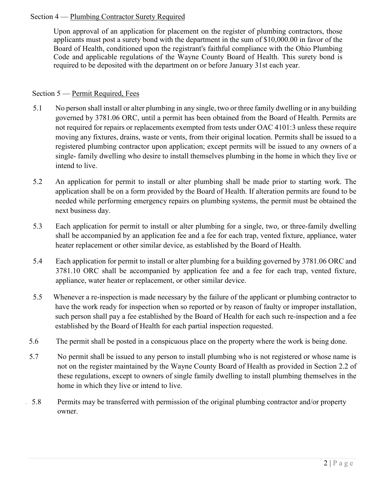# Section 4 — Plumbing Contractor Surety Required

Upon approval of an application for placement on the register of plumbing contractors, those applicants must post a surety bond with the department in the sum of \$10,000.00 in favor of the Board of Health, conditioned upon the registrant's faithful compliance with the Ohio Plumbing Code and applicable regulations of the Wayne County Board of Health. This surety bond is required to be deposited with the department on or before January 31st each year.

# Section 5 — Permit Required, Fees

- 5.1 No person shall install or alter plumbing in any single, two or three family dwelling or in any building governed by 3781.06 ORC, until a permit has been obtained from the Board of Health. Permits are not required for repairs or replacements exempted from tests under OAC 4101:3 unless these require moving any fixtures, drains, waste or vents, from their original location. Permits shall be issued to a registered plumbing contractor upon application; except permits will be issued to any owners of a single- family dwelling who desire to install themselves plumbing in the home in which they live or intend to live.
- 5.2 An application for permit to install or alter plumbing shall be made prior to starting work. The application shall be on a form provided by the Board of Health. If alteration permits are found to be needed while performing emergency repairs on plumbing systems, the permit must be obtained the next business day.
- 5.3 Each application for permit to install or alter plumbing for a single, two, or three-family dwelling shall be accompanied by an application fee and a fee for each trap, vented fixture, appliance, water heater replacement or other similar device, as established by the Board of Health.
- 5.4 Each application for permit to install or alter plumbing for a building governed by 3781.06 ORC and 3781.10 ORC shall be accompanied by application fee and a fee for each trap, vented fixture, appliance, water heater or replacement, or other similar device.
- 5.5 Whenever a re-inspection is made necessary by the failure of the applicant or plumbing contractor to have the work ready for inspection when so reported or by reason of faulty or improper installation, such person shall pay a fee established by the Board of Health for each such re-inspection and a fee established by the Board of Health for each partial inspection requested.
- 5.6 The permit shall be posted in a conspicuous place on the property where the work is being done.
- 5.7 No permit shall be issued to any person to install plumbing who is not registered or whose name is not on the register maintained by the Wayne County Board of Health as provided in Section 2.2 of these regulations, except to owners of single family dwelling to install plumbing themselves in the home in which they live or intend to live.
- 5.8 Permits may be transferred with permission of the original plumbing contractor and/or property owner.